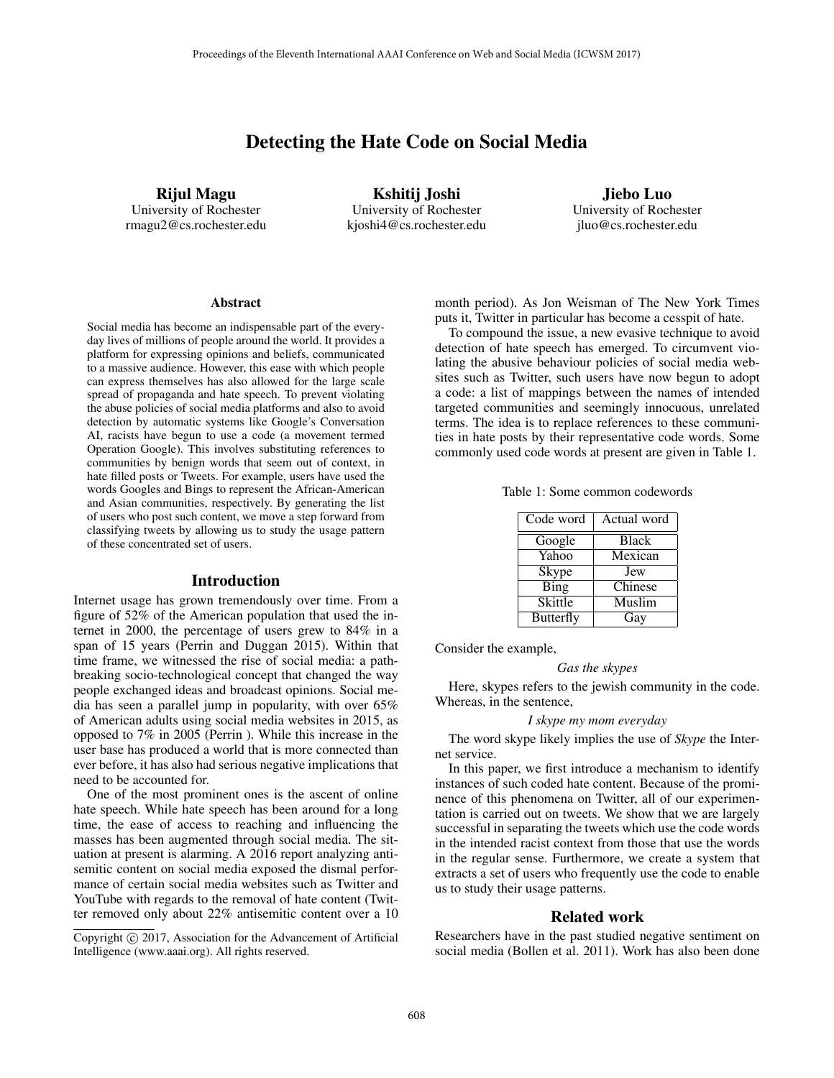# Detecting the Hate Code on Social Media

Rijul Magu University of Rochester rmagu2@cs.rochester.edu

Kshitij Joshi University of Rochester kjoshi4@cs.rochester.edu

Jiebo Luo University of Rochester jluo@cs.rochester.edu

#### Abstract

Social media has become an indispensable part of the everyday lives of millions of people around the world. It provides a platform for expressing opinions and beliefs, communicated to a massive audience. However, this ease with which people can express themselves has also allowed for the large scale spread of propaganda and hate speech. To prevent violating the abuse policies of social media platforms and also to avoid detection by automatic systems like Google's Conversation AI, racists have begun to use a code (a movement termed Operation Google). This involves substituting references to communities by benign words that seem out of context, in hate filled posts or Tweets. For example, users have used the words Googles and Bings to represent the African-American and Asian communities, respectively. By generating the list of users who post such content, we move a step forward from classifying tweets by allowing us to study the usage pattern of these concentrated set of users.

## Introduction

Internet usage has grown tremendously over time. From a figure of 52% of the American population that used the internet in 2000, the percentage of users grew to 84% in a span of 15 years (Perrin and Duggan 2015). Within that time frame, we witnessed the rise of social media: a pathbreaking socio-technological concept that changed the way people exchanged ideas and broadcast opinions. Social media has seen a parallel jump in popularity, with over 65% of American adults using social media websites in 2015, as opposed to 7% in 2005 (Perrin ). While this increase in the user base has produced a world that is more connected than ever before, it has also had serious negative implications that need to be accounted for.

One of the most prominent ones is the ascent of online hate speech. While hate speech has been around for a long time, the ease of access to reaching and influencing the masses has been augmented through social media. The situation at present is alarming. A 2016 report analyzing antisemitic content on social media exposed the dismal performance of certain social media websites such as Twitter and YouTube with regards to the removal of hate content (Twitter removed only about 22% antisemitic content over a 10

month period). As Jon Weisman of The New York Times puts it, Twitter in particular has become a cesspit of hate.

To compound the issue, a new evasive technique to avoid detection of hate speech has emerged. To circumvent violating the abusive behaviour policies of social media websites such as Twitter, such users have now begun to adopt a code: a list of mappings between the names of intended targeted communities and seemingly innocuous, unrelated terms. The idea is to replace references to these communities in hate posts by their representative code words. Some commonly used code words at present are given in Table 1.

Table 1: Some common codewords

| Code word        | Actual word  |
|------------------|--------------|
| Google           | <b>Black</b> |
| Yahoo            | Mexican      |
| Skype            | Jew          |
| <b>Bing</b>      | Chinese      |
| Skittle          | Muslim       |
| <b>Butterfly</b> | Gay          |

Consider the example,

#### *Gas the skypes*

Here, skypes refers to the jewish community in the code. Whereas, in the sentence,

#### *I skype my mom everyday*

The word skype likely implies the use of *Skype* the Internet service.

In this paper, we first introduce a mechanism to identify instances of such coded hate content. Because of the prominence of this phenomena on Twitter, all of our experimentation is carried out on tweets. We show that we are largely successful in separating the tweets which use the code words in the intended racist context from those that use the words in the regular sense. Furthermore, we create a system that extracts a set of users who frequently use the code to enable us to study their usage patterns.

#### Related work

Researchers have in the past studied negative sentiment on social media (Bollen et al. 2011). Work has also been done

Copyright  $\odot$  2017, Association for the Advancement of Artificial Intelligence (www.aaai.org). All rights reserved.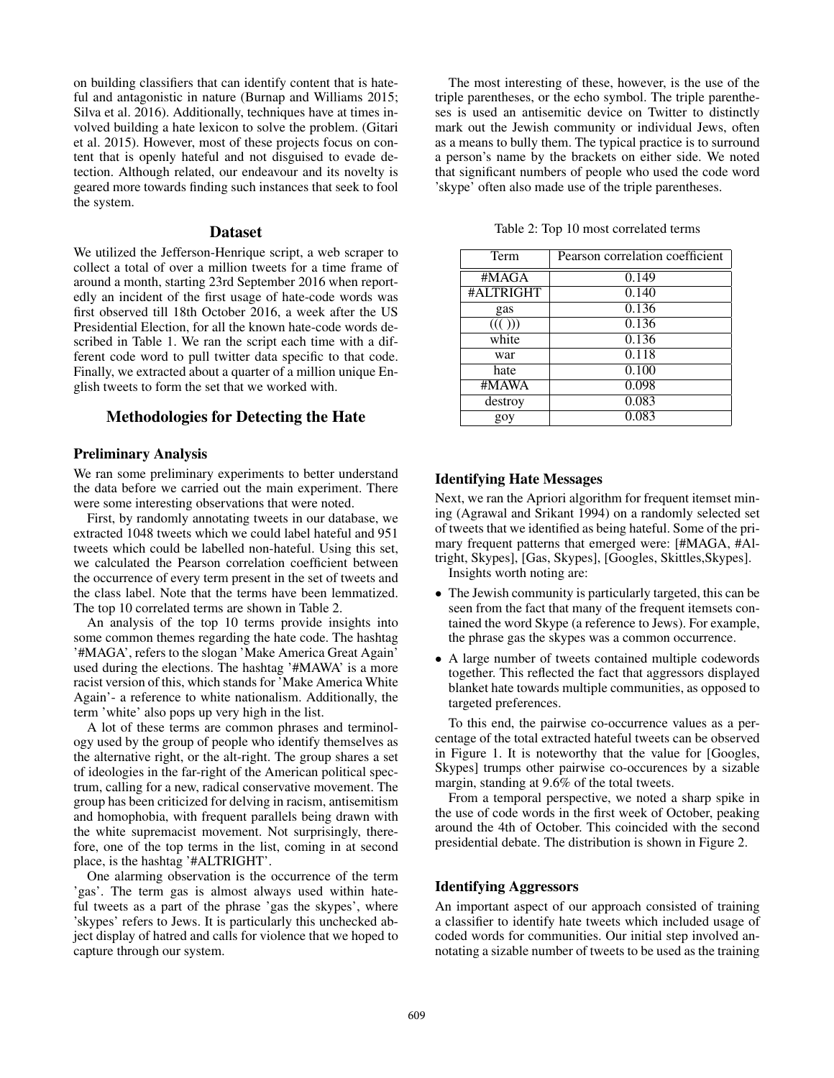on building classifiers that can identify content that is hateful and antagonistic in nature (Burnap and Williams 2015; Silva et al. 2016). Additionally, techniques have at times involved building a hate lexicon to solve the problem. (Gitari et al. 2015). However, most of these projects focus on content that is openly hateful and not disguised to evade detection. Although related, our endeavour and its novelty is geared more towards finding such instances that seek to fool the system.

#### Dataset

We utilized the Jefferson-Henrique script, a web scraper to collect a total of over a million tweets for a time frame of around a month, starting 23rd September 2016 when reportedly an incident of the first usage of hate-code words was first observed till 18th October 2016, a week after the US Presidential Election, for all the known hate-code words described in Table 1. We ran the script each time with a different code word to pull twitter data specific to that code. Finally, we extracted about a quarter of a million unique English tweets to form the set that we worked with.

# Methodologies for Detecting the Hate

### Preliminary Analysis

We ran some preliminary experiments to better understand the data before we carried out the main experiment. There were some interesting observations that were noted.

First, by randomly annotating tweets in our database, we extracted 1048 tweets which we could label hateful and 951 tweets which could be labelled non-hateful. Using this set, we calculated the Pearson correlation coefficient between the occurrence of every term present in the set of tweets and the class label. Note that the terms have been lemmatized. The top 10 correlated terms are shown in Table 2.

An analysis of the top 10 terms provide insights into some common themes regarding the hate code. The hashtag '#MAGA', refers to the slogan 'Make America Great Again' used during the elections. The hashtag '#MAWA' is a more racist version of this, which stands for 'Make America White Again'- a reference to white nationalism. Additionally, the term 'white' also pops up very high in the list.

A lot of these terms are common phrases and terminology used by the group of people who identify themselves as the alternative right, or the alt-right. The group shares a set of ideologies in the far-right of the American political spectrum, calling for a new, radical conservative movement. The group has been criticized for delving in racism, antisemitism and homophobia, with frequent parallels being drawn with the white supremacist movement. Not surprisingly, therefore, one of the top terms in the list, coming in at second place, is the hashtag '#ALTRIGHT'.

One alarming observation is the occurrence of the term 'gas'. The term gas is almost always used within hateful tweets as a part of the phrase 'gas the skypes', where 'skypes' refers to Jews. It is particularly this unchecked abject display of hatred and calls for violence that we hoped to capture through our system.

The most interesting of these, however, is the use of the triple parentheses, or the echo symbol. The triple parentheses is used an antisemitic device on Twitter to distinctly mark out the Jewish community or individual Jews, often as a means to bully them. The typical practice is to surround a person's name by the brackets on either side. We noted that significant numbers of people who used the code word 'skype' often also made use of the triple parentheses.

Table 2: Top 10 most correlated terms

| Term      | Pearson correlation coefficient |
|-----------|---------------------------------|
| #MAGA     | $\overline{0.149}$              |
| #ALTRIGHT | 0.140                           |
| gas       | 0.136                           |
| ((( ))    | 0.136                           |
| white     | 0.136                           |
| war       | 0.118                           |
| hate      | 0.100                           |
| #MAWA     | 0.098                           |
| destroy   | 0.083                           |
| goy       | 0.083                           |

# Identifying Hate Messages

Next, we ran the Apriori algorithm for frequent itemset mining (Agrawal and Srikant 1994) on a randomly selected set of tweets that we identified as being hateful. Some of the primary frequent patterns that emerged were: [#MAGA, #Altright, Skypes], [Gas, Skypes], [Googles, Skittles,Skypes]. Insights worth noting are:

- The Jewish community is particularly targeted, this can be seen from the fact that many of the frequent itemsets contained the word Skype (a reference to Jews). For example, the phrase gas the skypes was a common occurrence.
- A large number of tweets contained multiple codewords together. This reflected the fact that aggressors displayed blanket hate towards multiple communities, as opposed to targeted preferences.

To this end, the pairwise co-occurrence values as a percentage of the total extracted hateful tweets can be observed in Figure 1. It is noteworthy that the value for [Googles, Skypes] trumps other pairwise co-occurences by a sizable margin, standing at 9.6% of the total tweets.

From a temporal perspective, we noted a sharp spike in the use of code words in the first week of October, peaking around the 4th of October. This coincided with the second presidential debate. The distribution is shown in Figure 2.

## Identifying Aggressors

An important aspect of our approach consisted of training a classifier to identify hate tweets which included usage of coded words for communities. Our initial step involved annotating a sizable number of tweets to be used as the training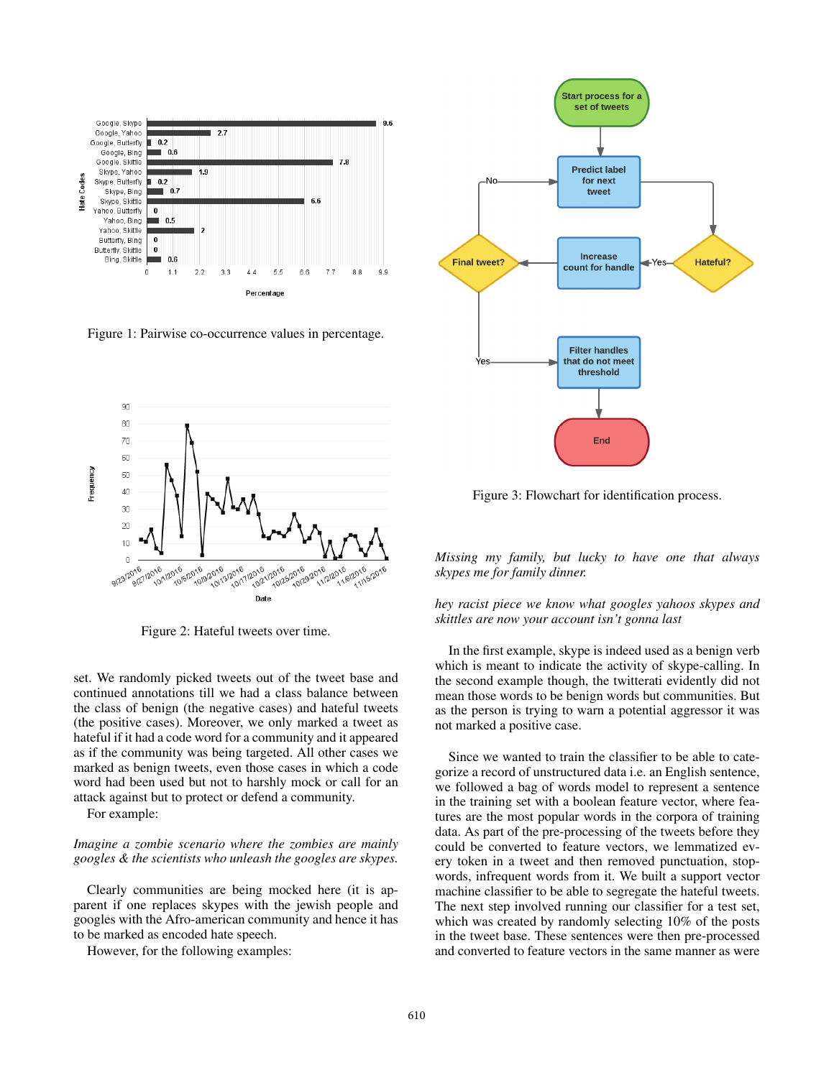

Figure 1: Pairwise co-occurrence values in percentage.



Figure 2: Hateful tweets over time.

set. We randomly picked tweets out of the tweet base and continued annotations till we had a class balance between the class of benign (the negative cases) and hateful tweets (the positive cases). Moreover, we only marked a tweet as hateful if it had a code word for a community and it appeared as if the community was being targeted. All other cases we marked as benign tweets, even those cases in which a code word had been used but not to harshly mock or call for an attack against but to protect or defend a community.

For example:

## *Imagine a zombie scenario where the zombies are mainly googles & the scientists who unleash the googles are skypes.*

Clearly communities are being mocked here (it is apparent if one replaces skypes with the jewish people and googles with the Afro-american community and hence it has to be marked as encoded hate speech.

However, for the following examples:



Figure 3: Flowchart for identification process.

*Missing my family, but lucky to have one that always skypes me for family dinner.*

## *hey racist piece we know what googles yahoos skypes and skittles are now your account isn't gonna last*

In the first example, skype is indeed used as a benign verb which is meant to indicate the activity of skype-calling. In the second example though, the twitterati evidently did not mean those words to be benign words but communities. But as the person is trying to warn a potential aggressor it was not marked a positive case.

Since we wanted to train the classifier to be able to categorize a record of unstructured data i.e. an English sentence, we followed a bag of words model to represent a sentence in the training set with a boolean feature vector, where features are the most popular words in the corpora of training data. As part of the pre-processing of the tweets before they could be converted to feature vectors, we lemmatized every token in a tweet and then removed punctuation, stopwords, infrequent words from it. We built a support vector machine classifier to be able to segregate the hateful tweets. The next step involved running our classifier for a test set, which was created by randomly selecting 10% of the posts in the tweet base. These sentences were then pre-processed and converted to feature vectors in the same manner as were